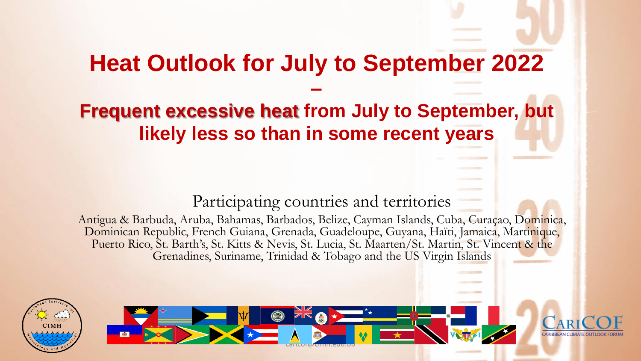# **Heat Outlook for July to September 2022**

**–**

### **Frequent excessive heat from July to September, but likely less so than in some recent years**

#### Participating countries and territories

Antigua & Barbuda, Aruba, Bahamas, Barbados, Belize, Cayman Islands, Cuba, Curaçao, Dominica, Dominican Republic, French Guiana, Grenada, Guadeloupe, Guyana, Haïti, Jamaica, Martinique, Puerto Rico, St. Barth's, St. Kitts & Nevis, St. Lucia, St. Maarten/St. Martin, St. Vincent & the Grenadines, Suriname, Trinidad & Tobago and the US Virgin Islands



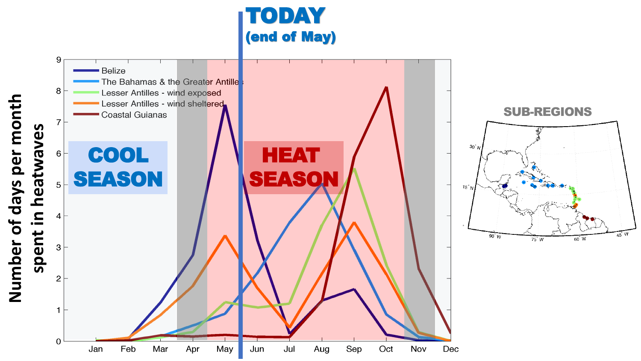

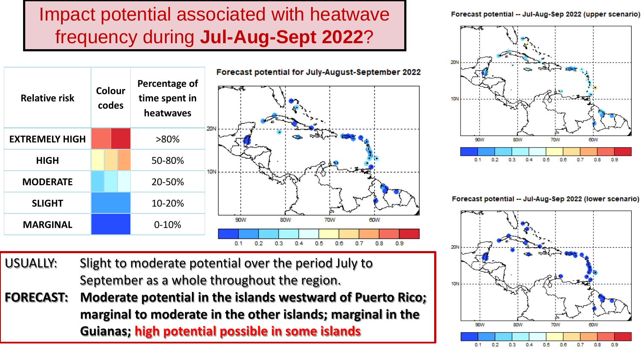# Impact potential associated with heatwave frequency during **Jul-Aug-Sept 2022**?



Forecast potential -- Jul-Aug-Sep 2022 (upper scenario)



Forecast potential -- Jul-Aug-Sep 2022 (lower scenario)



- USUALLY: Slight to moderate potential over the period July to September as a whole throughout the region.
- **FORECAST: Moderate potential in the islands westward of Puerto Rico; marginal to moderate in the other islands; marginal in the Guianas; high potential possible in some islands**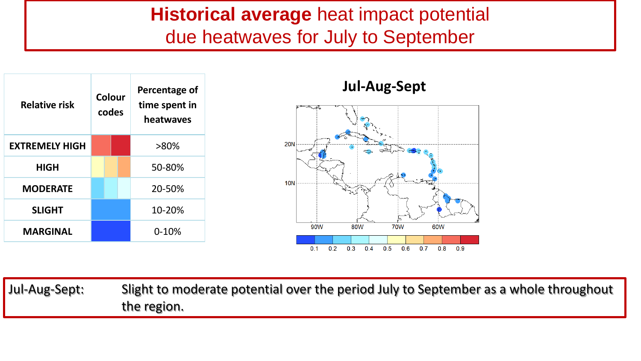#### **Historical average** heat impact potential due heatwaves for July to September





**Jul-Aug-Sept**

Jul-Aug-Sept: Slight to moderate potential over the period July to September as a whole throughout the region.